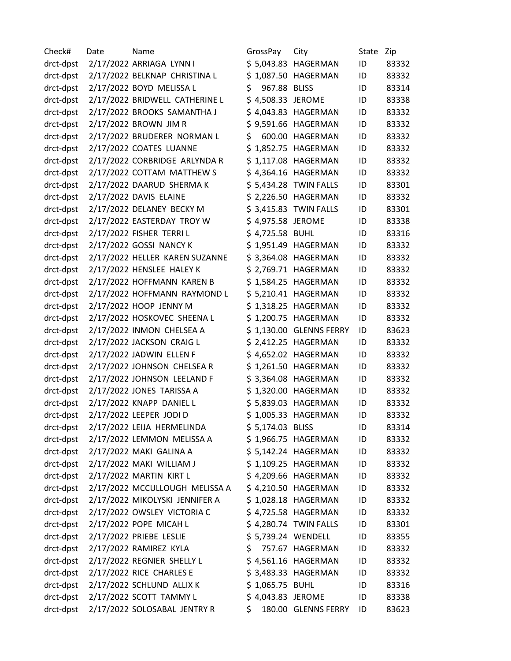| Check#    | Date | Name                           | GrossPay           | City                    | State | Zip   |
|-----------|------|--------------------------------|--------------------|-------------------------|-------|-------|
| drct-dpst |      | 2/17/2022 ARRIAGA LYNN I       |                    | \$5,043.83 HAGERMAN     | ID    | 83332 |
| drct-dpst |      | 2/17/2022 BELKNAP CHRISTINA L  |                    | \$1,087.50 HAGERMAN     | ID    | 83332 |
| drct-dpst |      | 2/17/2022 BOYD MELISSA L       | \$<br>967.88 BLISS |                         | ID    | 83314 |
| drct-dpst |      | 2/17/2022 BRIDWELL CATHERINE L | \$4,508.33 JEROME  |                         | ID    | 83338 |
| drct-dpst |      | 2/17/2022 BROOKS SAMANTHA J    |                    | \$4,043.83 HAGERMAN     | ID    | 83332 |
| drct-dpst |      | 2/17/2022 BROWN JIM R          |                    | \$9,591.66 HAGERMAN     | ID    | 83332 |
| drct-dpst |      | 2/17/2022 BRUDERER NORMAN L    | \$                 | 600.00 HAGERMAN         | ID    | 83332 |
| drct-dpst |      | 2/17/2022 COATES LUANNE        |                    | \$1,852.75 HAGERMAN     | ID    | 83332 |
| drct-dpst |      | 2/17/2022 CORBRIDGE ARLYNDA R  |                    | \$1,117.08 HAGERMAN     | ID    | 83332 |
| drct-dpst |      | 2/17/2022 COTTAM MATTHEW S     |                    | \$4,364.16 HAGERMAN     | ID    | 83332 |
| drct-dpst |      | 2/17/2022 DAARUD SHERMA K      |                    | \$5,434.28 TWIN FALLS   | ID    | 83301 |
| drct-dpst |      | 2/17/2022 DAVIS ELAINE         |                    | \$ 2,226.50 HAGERMAN    | ID    | 83332 |
| drct-dpst |      | 2/17/2022 DELANEY BECKY M      |                    | \$3,415.83 TWIN FALLS   | ID    | 83301 |
| drct-dpst |      | 2/17/2022 EASTERDAY TROY W     | \$4,975.58 JEROME  |                         | ID    | 83338 |
| drct-dpst |      | 2/17/2022 FISHER TERRIL        | \$4,725.58 BUHL    |                         | ID    | 83316 |
| drct-dpst |      | 2/17/2022 GOSSI NANCY K        |                    | \$1,951.49 HAGERMAN     | ID    | 83332 |
| drct-dpst |      | 2/17/2022 HELLER KAREN SUZANNE |                    | \$3,364.08 HAGERMAN     | ID    | 83332 |
| drct-dpst |      | 2/17/2022 HENSLEE HALEY K      |                    | \$ 2,769.71 HAGERMAN    | ID    | 83332 |
| drct-dpst |      | 2/17/2022 HOFFMANN KAREN B     |                    | \$1,584.25 HAGERMAN     | ID    | 83332 |
| drct-dpst |      | 2/17/2022 HOFFMANN RAYMOND L   |                    | \$5,210.41 HAGERMAN     | ID    | 83332 |
| drct-dpst |      | 2/17/2022 HOOP JENNY M         |                    | \$1,318.25 HAGERMAN     | ID    | 83332 |
| drct-dpst |      | 2/17/2022 HOSKOVEC SHEENA L    |                    | \$1,200.75 HAGERMAN     | ID    | 83332 |
| drct-dpst |      | 2/17/2022 INMON CHELSEA A      |                    | \$1,130.00 GLENNS FERRY | ID    | 83623 |
| drct-dpst |      | 2/17/2022 JACKSON CRAIG L      |                    | \$ 2,412.25 HAGERMAN    | ID    | 83332 |
| drct-dpst |      | 2/17/2022 JADWIN ELLEN F       |                    | \$4,652.02 HAGERMAN     | ID    | 83332 |
| drct-dpst |      | 2/17/2022 JOHNSON CHELSEA R    |                    | \$1,261.50 HAGERMAN     | ID    | 83332 |
| drct-dpst |      | 2/17/2022 JOHNSON LEELAND F    |                    | \$3,364.08 HAGERMAN     | ID    | 83332 |
| drct-dpst |      | 2/17/2022 JONES TARISSA A      |                    | \$1,320.00 HAGERMAN     | ID    | 83332 |
| drct-dpst |      | 2/17/2022 KNAPP DANIEL L       |                    | \$5,839.03 HAGERMAN     | ID    | 83332 |
| drct-dpst |      | 2/17/2022 LEEPER JODI D        |                    | \$1,005.33 HAGERMAN     | ID    | 83332 |
| drct-dpst |      | 2/17/2022 LEIJA HERMELINDA     | \$5,174.03 BLISS   |                         | ID    | 83314 |
| drct-dpst |      | 2/17/2022 LEMMON MELISSA A     |                    | \$1,966.75 HAGERMAN     | ID    | 83332 |
| drct-dpst |      | 2/17/2022 MAKI GALINA A        |                    | \$5,142.24 HAGERMAN     | ID    | 83332 |
| drct-dpst |      | 2/17/2022 MAKI WILLIAM J       |                    | \$1,109.25 HAGERMAN     | ID    | 83332 |
| drct-dpst |      | 2/17/2022 MARTIN KIRT L        |                    | \$4,209.66 HAGERMAN     | ID    | 83332 |
| drct-dpst |      | 2/17/2022 MCCULLOUGH MELISSA A |                    | \$4,210.50 HAGERMAN     | ID    | 83332 |
| drct-dpst |      | 2/17/2022 MIKOLYSKI JENNIFER A |                    | \$1,028.18 HAGERMAN     | ID    | 83332 |
| drct-dpst |      | 2/17/2022 OWSLEY VICTORIA C    |                    | \$4,725.58 HAGERMAN     | ID    | 83332 |
| drct-dpst |      | 2/17/2022 POPE MICAH L         |                    | \$4,280.74 TWIN FALLS   | ID    | 83301 |
| drct-dpst |      | 2/17/2022 PRIEBE LESLIE        | \$5,739.24 WENDELL |                         | ID    | 83355 |
| drct-dpst |      | 2/17/2022 RAMIREZ KYLA         | \$                 | 757.67 HAGERMAN         | ID    | 83332 |
| drct-dpst |      | 2/17/2022 REGNIER SHELLY L     |                    | \$4,561.16 HAGERMAN     | ID    | 83332 |
| drct-dpst |      | 2/17/2022 RICE CHARLES E       |                    | \$3,483.33 HAGERMAN     | ID    | 83332 |
| drct-dpst |      | 2/17/2022 SCHLUND ALLIX K      | \$1,065.75 BUHL    |                         | ID    | 83316 |
| drct-dpst |      | 2/17/2022 SCOTT TAMMY L        | \$4,043.83 JEROME  |                         | ID    | 83338 |
| drct-dpst |      | 2/17/2022 SOLOSABAL JENTRY R   | \$.                | 180.00 GLENNS FERRY     | ID    | 83623 |